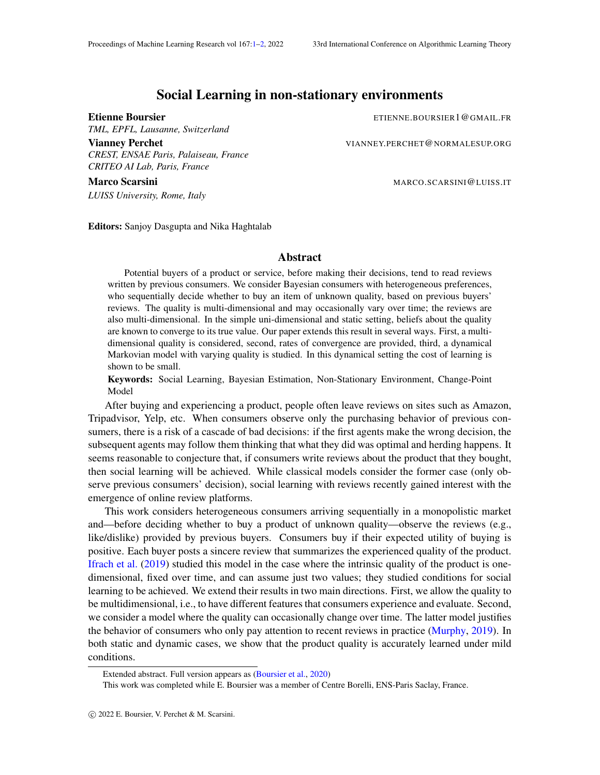## Social Learning in non-stationary environments

*TML, EPFL, Lausanne, Switzerland*

*CREST, ENSAE Paris, Palaiseau, France CRITEO AI Lab, Paris, France*

Marco Scarsini Marco Scarsini Marco Scarsini Marco Scarsini Marco Scarsini Marco Scarsini Marco Scarsini Marco Scarsini Marco Scarsini Marco Scarsini Marco Scarsini Marco Scarsini Marco Scarsini Marco Scarsini Marco Scarsi *LUISS University, Rome, Italy*

<span id="page-0-0"></span>Etienne Boursier ETIENNE.BOURSIER1@GMAIL.FR

Vianney Perchet **VIANNEY.PERCHET@NORMALESUP.ORG** 

Editors: Sanjoy Dasgupta and Nika Haghtalab

## Abstract

Potential buyers of a product or service, before making their decisions, tend to read reviews written by previous consumers. We consider Bayesian consumers with heterogeneous preferences, who sequentially decide whether to buy an item of unknown quality, based on previous buyers' reviews. The quality is multi-dimensional and may occasionally vary over time; the reviews are also multi-dimensional. In the simple uni-dimensional and static setting, beliefs about the quality are known to converge to its true value. Our paper extends this result in several ways. First, a multidimensional quality is considered, second, rates of convergence are provided, third, a dynamical Markovian model with varying quality is studied. In this dynamical setting the cost of learning is shown to be small.

Keywords: Social Learning, Bayesian Estimation, Non-Stationary Environment, Change-Point Model

After buying and experiencing a product, people often leave reviews on sites such as Amazon, Tripadvisor, Yelp, etc. When consumers observe only the purchasing behavior of previous consumers, there is a risk of a cascade of bad decisions: if the first agents make the wrong decision, the subsequent agents may follow them thinking that what they did was optimal and herding happens. It seems reasonable to conjecture that, if consumers write reviews about the product that they bought, then social learning will be achieved. While classical models consider the former case (only observe previous consumers' decision), social learning with reviews recently gained interest with the emergence of online review platforms.

This work considers heterogeneous consumers arriving sequentially in a monopolistic market and—before deciding whether to buy a product of unknown quality—observe the reviews (e.g., like/dislike) provided by previous buyers. Consumers buy if their expected utility of buying is positive. Each buyer posts a sincere review that summarizes the experienced quality of the product. [Ifrach et al.](#page-1-1) [\(2019\)](#page-1-1) studied this model in the case where the intrinsic quality of the product is onedimensional, fixed over time, and can assume just two values; they studied conditions for social learning to be achieved. We extend their results in two main directions. First, we allow the quality to be multidimensional, i.e., to have different features that consumers experience and evaluate. Second, we consider a model where the quality can occasionally change over time. The latter model justifies the behavior of consumers who only pay attention to recent reviews in practice [\(Murphy,](#page-1-2) [2019\)](#page-1-2). In both static and dynamic cases, we show that the product quality is accurately learned under mild conditions.

Extended abstract. Full version appears as [\(Boursier et al.,](#page-1-3) [2020\)](#page-1-3)

This work was completed while E. Boursier was a member of Centre Borelli, ENS-Paris Saclay, France.